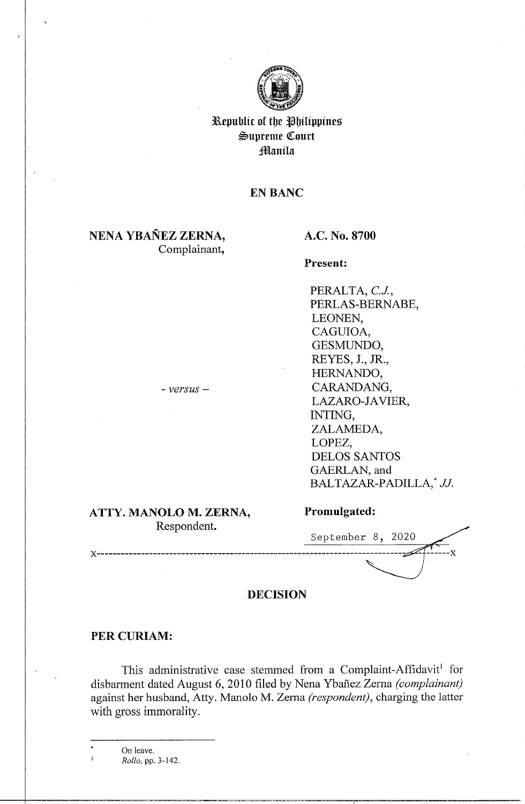

Republic of the Philippines  $\mathfrak{S}$ upreme Court **Manila** 

# **EN BANC**

# **NENA YBANEZ ZERNA,**  Complainant,

# **A.C. No. 8700**

**Present:** 

PERALTA, *C.J,*  PERLAS-BERNABE, LEONEN, CAGUIOA, GESMUNDO, REYES, J., JR., HERNANDO, CARANDANG, LAZARO-JAVIER, INTING, ZALAMEDA, LOPEZ, DELOS SANTOS GAERLAN, and BALTAZAR-PADILLA,\* JJ.

### **ATTY. MANOLO M. ZERNA,**  Respondent.

- *versus* -

| September 8, 2020 |  |  |
|-------------------|--|--|
|                   |  |  |

**Promulgated:** 

### **DECISION**

#### PER CURIAM:

This administrative case stemmed from a Complaint-Affidavit<sup>1</sup> for disbarment dated August 6, 2010 filed by Nena Ybafiez Zerna *(complainant)*  against her husband, Atty. Manolo M. Zema *(respondent),* charging the latter with gross immorality.

On leave. *Rollo,* pp. 3-142.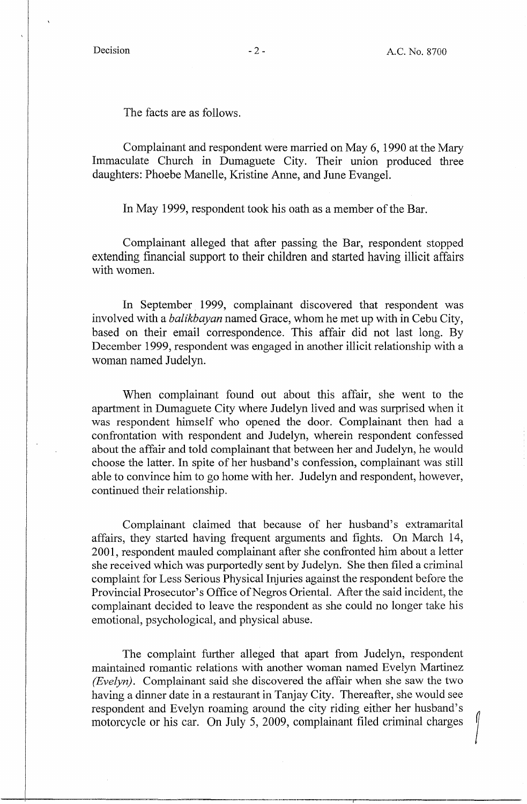The facts are as follows.

Complainant and respondent were married on May 6, 1990 at the Mary Immaculate Church in Dumaguete City. Their union produced three daughters: Phoebe Manelle, Kristine Anne, and June Evangel.

In May 1999, respondent took his oath as a member of the Bar.

Complainant alleged that after passing the Bar, respondent stopped extending financial support to their children and started having illicit affairs with women.

In September 1999, complainant discovered that respondent was involved with a *balikbayan* named Grace, whom he met up with in Cebu City, based on their email correspondence. This affair did not last long. By December 1999, respondent was engaged in another illicit relationship with a woman named Judelyn.

When complainant found out about this affair, she went to the apartment in Dumaguete City where Judelyn lived and was surprised when it was respondent himself who opened the door. Complainant then had a confrontation with respondent and Judelyn, wherein respondent confessed about the affair and told complainant that between her and Judelyn, he would choose the latter. In spite of her husband's confession, complainant was still able to convince him to go home with her. Judelyn and respondent, however, continued their relationship.

Complainant claimed that because of her husband's extramarital affairs, they started having frequent arguments and fights. On March 14, 2001, respondent mauled complainant after she confronted him about a letter she received which was purportedly sent by Judelyn. She then filed a criminal complaint for Less Serious Physical Injuries against the respondent before the Provincial Prosecutor's Office of Negros Oriental. After the said incident, the complainant decided to leave the respondent as she could no longer take his emotional, psychological, and physical abuse.

The complaint further alleged that apart from Judelyn, respondent maintained romantic relations with another woman named Evelyn Martinez *(Evelyn).* Complainant said she discovered the affair when she saw the two having a dinner date in a restaurant in Tanjay City. Thereafter, she would see respondent and Evelyn roaming around the city riding either her husband's motorcycle or his car. On July 5, 2009, complainant filed criminal charges /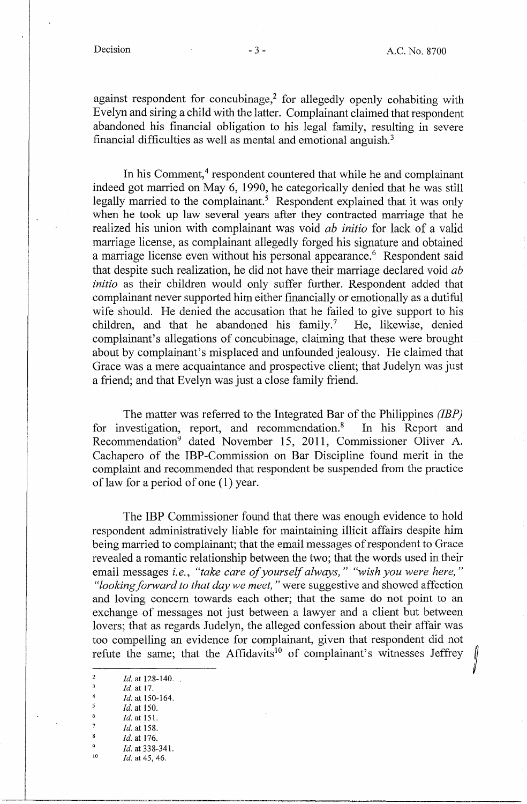against respondent for concubinage,<sup>2</sup> for allegedly openly cohabiting with Evelyn and siring a child with the latter. Complainant claimed that respondent abandoned his financial obligation to his legal family, resulting in severe financial difficulties as well as mental and emotional anguish. <sup>3</sup>

In his Comment,<sup>4</sup> respondent countered that while he and complainant indeed got married on May 6, 1990, he categorically denied that he was still legally married to the complainant.<sup>5</sup> Respondent explained that it was only when he took up law several years after they contracted marriage that he realized his union with complainant was void *ab initio* for lack of a valid marriage license, as complainant allegedly forged his signature and obtained a marriage license even without his personal appearance.<sup>6</sup> Respondent said that despite such realization, he did not have their marriage declared void *ab initio* as their children would only suffer further. Respondent added that complainant never supported him either financially or emotionally as a dutiful wife should. He denied the accusation that he failed to give support to his children, and that he abandoned his family.<sup>7</sup> He, likewise, denied complainant's allegations of concubinage, claiming that these were brought about by complainant's misplaced and unfounded jealousy. He claimed that Grace was a mere acquaintance and prospective client; that Judelyn was just a friend; and that Evelyn was just a close family friend.

The matter was referred to the Integrated Bar of the Philippines *(IBP)*  for investigation, report, and recommendation. $\delta$  In his Report and Recommendation<sup>9</sup> dated November 15, 2011, Commissioner Oliver A. Cachapero of the IBP-Commission on Bar Discipline found merit in the complaint and recommended that respondent be suspended from the practice of law for a period of one (1) year.

The IBP Commissioner found that there was enough evidence to hold respondent administratively liable for maintaining illicit affairs despite him being married to complainant; that the email messages of respondent to Grace revealed a romantic relationship between the two; that the words used in their email messages *i.e., "take care of yourself always," "wish you were here," "looking forward to that day we meet,"* were suggestive and showed affection and loving concern towards each other; that the same do not point to an exchange of messages not just between a lawyer and a client but between lovers; that as regards Judelyn, the alleged confession about their affair was too compelling an evidence for complainant, given that respondent did not refute the same; that the Affidavits<sup>10</sup> of complainant's witnesses Jeffrey

<sup>2</sup> *Id.* at 128-140. *Id.* at 17.  $\frac{4}{5}$  *Id.* at 150-164.  $\frac{5}{6}$  *Id.* at 150.  $\frac{6}{7}$  *Id.* at 151.  $\frac{7}{8}$  *Id.* at 158.  $\frac{8}{9}$  *Id.* at 176. <sup>9</sup> *Id.* at 338-341.<br><sup>10</sup> *Id.* at 45, 46.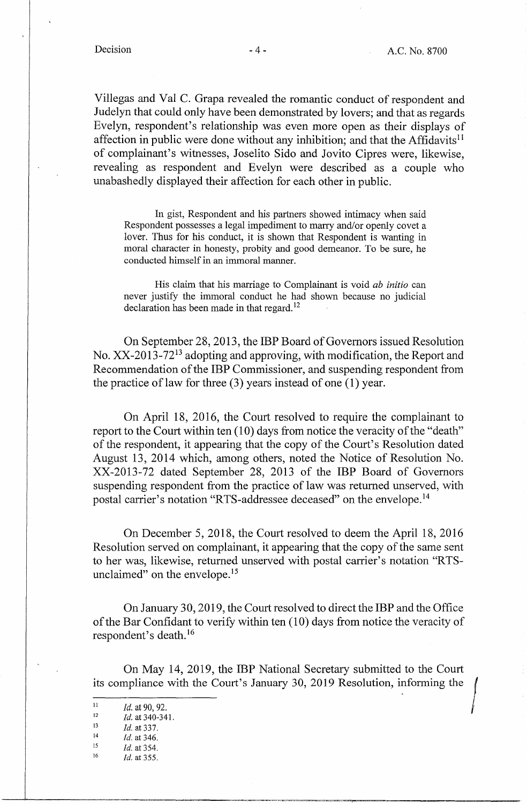Villegas and Val C. Grapa revealed the romantic conduct of respondent and Judelyn that could only have been demonstrated by lovers; and that as regards Evelyn, respondent's relationship was even more open as their displays of affection in public were done without any inhibition; and that the Affidavits<sup> $11$ </sup> of complainant's witnesses, Joselito Sido and Jovito Cipres were, likewise, revealing as respondent and Evelyn were described as a couple who unabashedly displayed their affection for each other in public.

In gist, Respondent and his partners showed intimacy when said Respondent possesses a legal impediment to marry and/or openly covet a lover. Thus for his conduct, it is shown that Respondent is wanting in moral character in honesty, probity and good demeanor. To be sure, he conducted himself in an immoral manner.

His claim that his marriage to Complainant is void *ab initio* can never justify the immoral conduct he had shown because no judicial declaration has been made in that regard.<sup>12</sup>

On September 28, 2013, the IBP Board of Governors issued Resolution No.  $XX-2013-72^{13}$  adopting and approving, with modification, the Report and Recommendation of the IBP Commissioner, and suspending respondent from the practice of law for three (3) years instead of one (1) year.

On April 18, 2016, the Court resolved to require the complainant to report to the Court within ten (10) days from notice the veracity of the "death" of the respondent, it appearing that the copy of the Court's Resolution dated August 13, 2014 which, among others, noted the Notice of Resolution No. XX-2013-72 dated September 28, 2013 of the IBP Board of Governors suspending respondent from the practice of law was returned unserved, with postal carrier's notation "RTS-addressee deceased" on the envelope. <sup>14</sup>

On December 5, 2018, the Court resolved to deem the April 18, 2016 Resolution served on complainant, it appearing that the copy of the same sent to her was, likewise, returned unserved with postal carrier's notation "RTSunclaimed" on the envelope.<sup>15</sup>

On January 30, 2019, the Court resolved to direct the IBP and the Office of the Bar Confidant to verify within ten (10) days from notice the veracity of respondent's death. 16

On May 14, 2019, the IBP National Secretary submitted to the Court its compliance with the Court's January 30, 2019 Resolution, informing the

-----------~---------~-~----~-----------------

<sup>15</sup>*Id.* at 354. 16 *Id.* at 355.

 $I_1$  *Id.* at 90, 92.

<sup>&</sup>lt;sup>12</sup> *Id.* at 340-341.

 $13$  *Id.* at 337.

 $14$  *Id.* at 346.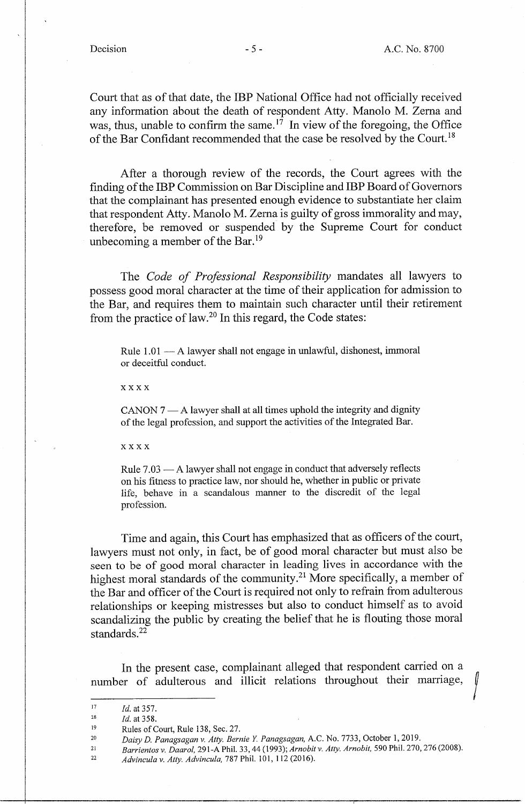Court that as of that date, the IBP National Office had not officially received any information about the death of respondent Atty. Manolo M. Zema and was, thus, unable to confirm the same.<sup>17</sup> In view of the foregoing, the Office of the Bar Confidant recommended that the case be resolved by the Court.<sup>18</sup>

After a thorough review of the records, the Court agrees with the finding of the IBP Commission on Bar Discipline and IBP Board of Governors that the complainant has presented enough evidence to substantiate her claim that respondent Atty. Manolo M. Zema is guilty of gross immorality and may, therefore, be removed or suspended by the Supreme Court for conduct unbecoming a member of the Bar.<sup>19</sup>

The *Code of Professional Responsibility* mandates all lawyers to possess good moral character at the time of their application for admission to the Bar, and requires them to maintain such character until their retirement from the practice of law.20 In this regard, the Code states:

Rule  $1.01 - A$  lawyer shall not engage in unlawful, dishonest, immoral or deceitful conduct.

xxxx

 $CANON 7 — A$  lawyer shall at all times uphold the integrity and dignity of the legal profession, and support the activities of the Integrated Bar.

xxxx

Rule  $7.03 - A$  lawyer shall not engage in conduct that adversely reflects on his fitness to practice law, nor should he, whether in public or private life, behave in a scandalous manner to the discredit of the legal profession.

Time and again, this Court has emphasized that as officers of the court, lawyers must not only, in fact, be of good moral character but must also be seen to be of good moral character in leading lives in accordance with the highest moral standards of the community.<sup>21</sup> More specifically, a member of the Bar and officer of the Court is required not only to refrain from adulterous relationships or keeping mistresses but also to conduct himself as to avoid scandalizing the public by creating the belief that he is flouting those moral standards. 22

In the present case, complainant alleged that respondent carried on a number of adulterous and illicit relations throughout their marriage,

<sup>17</sup>  *Id.* at 357.

<sup>18</sup>  *Id.* at 358.

<sup>19</sup>  Rules of Court, Rule 138, Sec. 27.

<sup>20</sup>  *Daisy D. Panagsagan v. Atty. Bernie Y. Panagsagan,* A.C. No. 7733, October 1, 2019.

<sup>21</sup>  *Barrientos v. Daarol,* 291-A Phil. 33, 44 (1993); *Arnobit v. Atty. Arnobit,* 590 Phil. 270, 276 (2008).

<sup>22</sup>  *Advincula v. Atty. Advincula,* 787 Phil. 101, 112 (2016).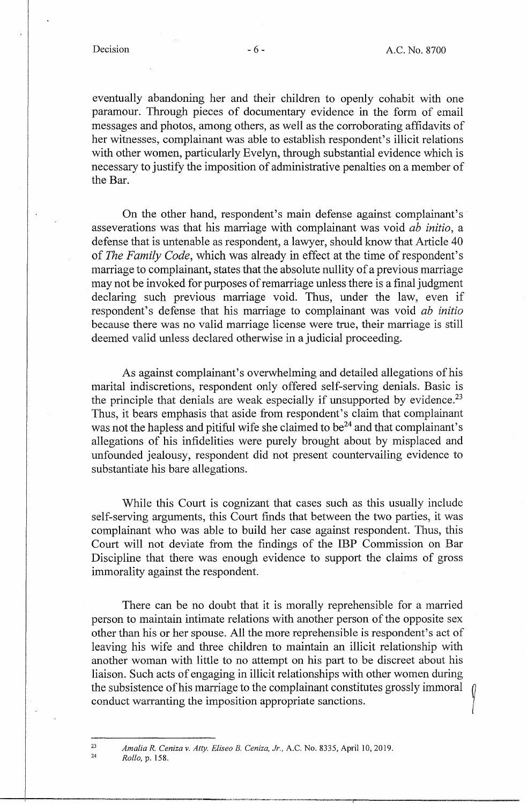eventually abandoning her and their children to openly cohabit with one paramour. Through pieces of documentary evidence in the form of email messages and photos, among others, as well as the corroborating affidavits of her witnesses, complainant was able to establish respondent's illicit relations with other women, particularly Evelyn, through substantial evidence which is necessary to justify the imposition of administrative penalties on a member of the Bar.

On the other hand, respondent's main defense against complainant's asseverations was that his marriage with complainant was void *ab initio,* a defense that is untenable as respondent, a lawyer, should know that Article 40 of *The Family Code,* which was already in effect at the time of respondent's marriage to complainant, states that the absolute nullity of a previous marriage may not be invoked for purposes of remarriage unless there is a final judgment declaring such previous marriage void. Thus, under the law, even if respondent's defense that his marriage to complainant was void *ab initio*  because there was no valid marriage license were true, their marriage is still deemed valid unless declared otherwise in a judicial proceeding.

As against complainant's overwhelming and detailed allegations of his marital indiscretions, respondent only offered self-serving denials. Basic is the principle that denials are weak especially if unsupported by evidence.<sup>23</sup> Thus, it bears emphasis that aside from respondent's claim that complainant was not the hapless and pitiful wife she claimed to be<sup>24</sup> and that complainant's allegations of his infidelities were purely brought about by misplaced and unfounded jealousy, respondent did not present countervailing evidence to substantiate his bare allegations.

While this Court is cognizant that cases such as this usually include self-serving arguments, this Court finds that between the two parties, it was complainant who was able to build her case against respondent. Thus, this Court will not deviate from the findings of the **IBP** Commission on Bar Discipline that there was enough evidence to support the claims of gross immorality against the respondent.

There can be no doubt that it is morally reprehensible for a married person to maintain intimate relations with another person of the opposite sex other than his or her spouse. All the more reprehensible is respondent's act of leaving his wife and three children to maintain an illicit relationship with another woman with little to no attempt on his part to be discreet about his liaison. Such acts of engaging in illicit relationships with other women during the subsistence of his marriage to the complainant constitutes grossly immoral *Q*  conduct warranting the imposition appropriate sanctions.

*Amalia R. Cenizav. Atty. Eliseo B. Ceniza, Jr.,* A.C. No. 8335, April 10, 2019.

*Rollo,* p. 158.

23 24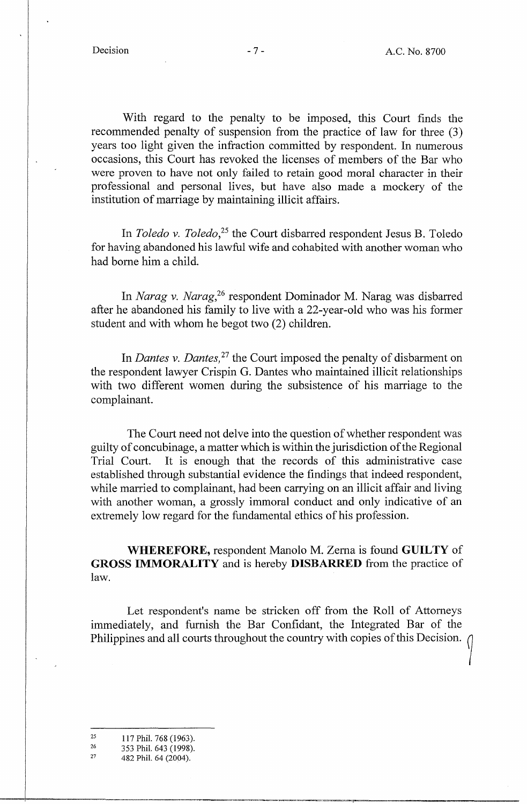With regard to the penalty to be imposed, this Court finds the recommended penalty of suspension from the practice of law for three (3) years too light given the infraction committed by respondent. In numerous occasions, this Court has revoked the licenses of members of the Bar who were proven to have not only failed to retain good moral character in their professional and personal lives, but have also made a mockery of the institution of marriage by maintaining illicit affairs.

In *Toledo v. Toledo*,<sup>25</sup> the Court disbarred respondent Jesus B. Toledo for having abandoned his lawful wife and cohabited with another woman who had borne him a child.

In *Narag v. Narag, <sup>26</sup>*respondent Dominador M. Narag was disbarred after he abandoned his family to live with a 22-year-old who was his former student and with whom he begot two (2) children.

In *Dantes v. Dantes,* 27 the Court imposed the penalty of disbarment on the respondent lawyer Crispin G. Dantes who maintained illicit relationships with two different women during the subsistence of his marriage to the complainant.

The Court need not delve into the question of whether respondent was guilty of concubinage, a matter which is within the jurisdiction of the Regional Trial Court. It is enough that the records of this administrative case established through substantial evidence the findings that indeed respondent, while married to complainant, had been carrying on an illicit affair and living with another woman, a grossly immoral conduct and only indicative of an extremely low regard for the fundamental ethics of his profession.

**WHEREFORE,** respondent Manolo M. Zema is found **GUILTY** of **GROSS IMMORALITY** and is hereby **DISBARRED** from the practice of law.

Let respondent's name be stricken off from the Roll of Attorneys immediately, and furnish the Bar Confidant, the Integrated Bar of the Philippines and all courts throughout the country with copies of this Decision.

<sup>25</sup>  117 Phil. 768 (1963).

<sup>26</sup>  353 Phil. 643 (1998).

<sup>27</sup>  482 Phil. 64 (2004).